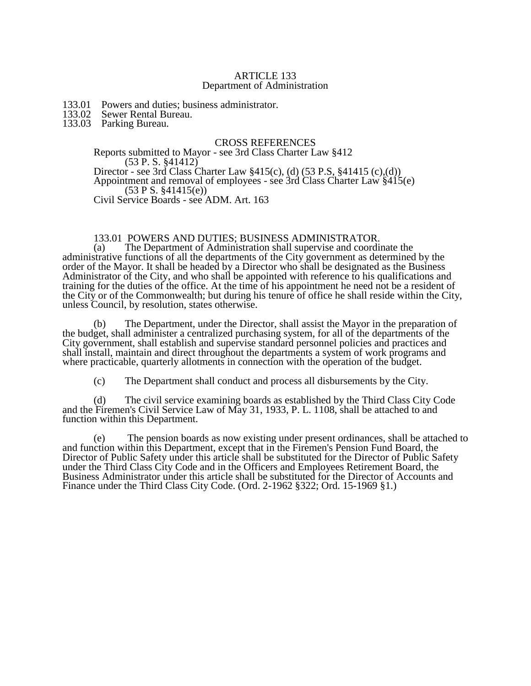#### ARTICLE 133 Department of Administration

- 133.01 Powers and duties; business administrator.<br>133.02 Sewer Rental Bureau.
- 133.02 Sewer Rental Bureau.
- 133.03 Parking Bureau.

## CROSS REFERENCES

#### Reports submitted to Mayor - see 3rd Class Charter Law §412 (53 P. S. §41412) Director - see 3rd Class Charter Law §415(c), (d) (53 P.S, §41415 (c),(d))

Appointment and removal of employees - see 3rd Class Charter Law §415(e) (53 P S. §41415(e))

Civil Service Boards - see ADM. Art. 163

#### 133.01 POWERS AND DUTIES; BUSINESS ADMINISTRATOR.

(a) The Department of Administration shall supervise and coordinate the administrative functions of all the departments of the City government as determined by the order of the Mayor. It shall be headed by a Director who shall be designated as the Business Administrator of the City, and who shall be appointed with reference to his qualifications and training for the duties of the office. At the time of his appointment he need not be a resident of the City or of the Commonwealth; but during his tenure of office he shall reside within the City, unless Council, by resolution, states otherwise.

(b) The Department, under the Director, shall assist the Mayor in the preparation of the budget, shall administer a centralized purchasing system, for all of the departments of the City government, shall establish and supervise standard personnel policies and practices and shall install, maintain and direct throughout the departments a system of work programs and where practicable, quarterly allotments in connection with the operation of the budget.

(c) The Department shall conduct and process all disbursements by the City.

(d) The civil service examining boards as established by the Third Class City Code and the Firemen's Civil Service Law of May 31, 1933, P. L. 1108, shall be attached to and function within this Department.

(e) The pension boards as now existing under present ordinances, shall be attached to and function within this Department, except that in the Firemen's Pension Fund Board, the Director of Public Safety under this article shall be substituted for the Director of Public Safety under the Third Class City Code and in the Officers and Employees Retirement Board, the Business Administrator under this article shall be substituted for the Director of Accounts and Finance under the Third Class City Code. (Ord. 2-1962 §322; Ord. 15-1969 §1.)